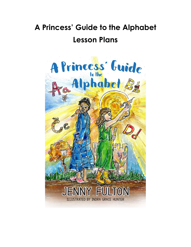# **A Princess' Guide to the Alphabet Lesson Plans**

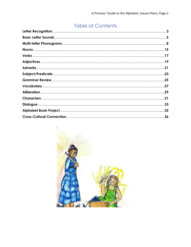## **Table of Contents**

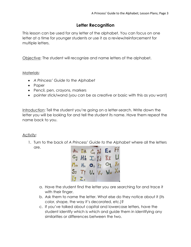## **Letter Recognition**

This lesson can be used for any letter of the alphabet. You can focus on one letter at a time for younger students or use it as a review/reinforcement for multiple letters.

Objective: The student will recognize and name letters of the alphabet.

#### Materials:

- *A Princess' Guide to the Alphabet*
- Paper
- Pencil, pen, crayons, markers
- pointer stick/wand (you can be as creative or basic with this as you want)

Introduction: Tell the student you're going on a letter-search. Write down the letter you will be looking for and tell the student its name. Have them repeat the name back to you.

#### Activity:

1. Turn to the back of *A Princess' Guide to the Alphabet* where all the letters are.



- a. Have the student find the letter you are searching for and trace it with their finger.
- b. Ask them to name the letter. What else do they notice about it (its color, shape, the way it's decorated, etc.)?
- c. If you've talked about capital and lowercase letters, have the student identify which is which and guide them in identifying any similarities or differences between the two.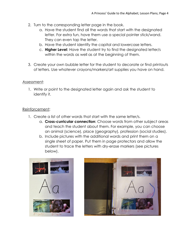- 2. Turn to the corresponding letter page in the book.
	- a. Have the student find all the words that start with the designated letter. For extra fun, have them use a special pointer stick/wand. They can even tap the letter.
	- b. Have the student identify the capital and lowercase letters.
	- c. **Higher Level**: Have the student try to find the designated letter/s within the words as well as at the beginning of them.
- 3. Create your own bubble letter for the student to decorate or find printouts of letters. Use whatever crayons/markers/art supplies you have on hand.

#### Assessment:

1. Write or point to the designated letter again and ask the student to identify it.

#### Reinforcement:

- 1. Create a list of other words that start with the same letter/s.
	- a. **Cross-curricular connection**: Choose words from other subject areas and teach the student about them. For example, you can choose an animal (science), place (geography), profession (social studies).
	- b. Include pictures with the additional words and print them on a single sheet of paper. Put them in page protectors and allow the student to trace the letters with dry-erase markers (see pictures below).



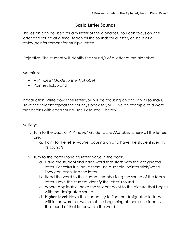## **Basic Letter Sounds**

This lesson can be used for any letter of the alphabet. You can focus on one letter and sound at a time, teach all the sounds for a letter, or use it as a review/reinforcement for multiple letters.

Objective: The student will identify the sound/s of a letter of the alphabet.

#### Materials:

- *A Princess' Guide to the Alphabet*
- Pointer stick/wand

Introduction: Write down the letter you will be focusing on and say its sound/s. Have the student repeat the sound/s back to you. Give an example of a word that begins with each sound (see Resource 1 below).

- 1. Turn to the back of *A Princess' Guide to the Alphabet* where all the letters are.
	- a. Point to the letter you're focusing on and have the student identify its sound/s.
- 2. Turn to the corresponding letter page in the book.
	- a. Have the student find each word that starts with the designated letter. For extra fun, have them use a special pointer stick/wand. They can even slap the letter.
	- b. Read the word to the student, emphasizing the sound of the focus letter. Have the student identify the letter's sound.
	- c. Where applicable, have the student point to the picture that begins with the designated sound.
	- d. **Higher Level**: Have the student try to find the designated letter/s within the words as well as at the beginning of them and identify the sound of that letter within the word.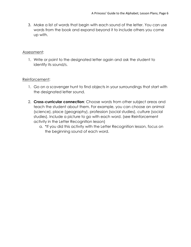3. Make a list of words that begin with each sound of the letter. You can use words from the book and expand beyond it to include others you come up with.

#### Assessment:

1. Write or point to the designated letter again and ask the student to identify its sound/s.

#### Reinforcement:

- 1. Go on a scavenger hunt to find objects in your surroundings that start with the designated letter sound.
- 2. **Cross-curricular connection**: Choose words from other subject areas and teach the student about them. For example, you can choose an animal (science), place (geography), profession (social studies), culture (social studies). Include a picture to go with each word. (see Reinforcement activity in the Letter Recognition lesson)
	- a. \*If you did this activity with the Letter Recognition lesson, focus on the beginning sound of each word.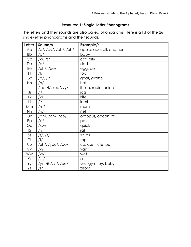## **Resource 1: Single Letter Phonograms**

The letters and their sounds are also called phonograms. Here is a list of the 26 single-letter phonograms and their sounds.

| Letter         | Sound/s               | Example/s                |
|----------------|-----------------------|--------------------------|
| Aa             | /a/, /ay/, /ah/, /uh/ | apple, ape, all, another |
| <b>Bb</b>      | /b/                   | baby                     |
| C <sub>C</sub> | $/k/$ , /s/           | cat, city                |
| Dd             | /d/                   | dad                      |
| Ee             | /eh/, /ee/            | egg, be                  |
| Ff             | /f/                   | fox                      |
| Gg             | $/g/$ , /j/           | goat, giraffe            |
| Hh             | /h/                   | hat                      |
| li             | /ih/, /l/, /ee/, /y/  | it, ice, radio, onion    |
| Jj             | /j/                   | jog                      |
| Kk             | /k/                   | kite                     |
| $\Box$         | $/$  /                | lamb                     |
| Mm             | /m/                   | mom                      |
| Nn             | /n/                   | net                      |
| Oo             | /ah/, /oh/, /oo/      | octopus, ocean, to       |
| Pp             | /p/                   | pot                      |
| Qq             | /kw/                  | quick                    |
| Rr             | /r/                   | rat                      |
| S <sub>S</sub> | s ,  z                | sit, as                  |
| <b>Tt</b>      | /1/                   | top                      |
| UU             | /uh/, /you/, /oo/,    | up, use, flute, put      |
| Vv             | /V/                   | van                      |
| Ww             | /w/                   | wet                      |
| Xx             | $/$ ks/               | $\alpha$ s               |
| Yy             | /y/, /ih/, /l/, /ee/  | yes, gym, by, baby       |
| Zz             | z                     | zebra                    |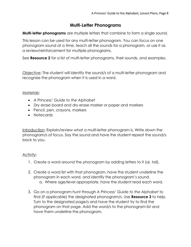## **Multi-Letter Phonograms**

**Multi-letter phonograms** are multiple letters that combine to form a single sound.

This lesson can be used for any multi-letter phonogram. You can focus on one phonogram sound at a time, teach all the sounds for a phonogram, or use it as a review/reinforcement for multiple phonograms.

See **Resource 2** for a list of multi-letter phonograms, their sounds, and examples.

Objective: The student will identify the sound/s of a multi-letter phonogram and recognize the phonogram when it is used in a word.

#### Materials:

- *A Princess' Guide to the Alphabet*
- Dry erase board and dry erase marker or paper and markers
- Pencil, pen, crayons, markers
- Notecards

Introduction: Explain/review what a multi-letter phonogram is. Write down the phonogram/s of focus. Say the sound and have the student repeat the sound/s back to you.

- 1. Create a word around the phonogram by adding letters to it (ai, tail).
- 2. Create a word list with that phonogram, have the student underline the phonogram in each word, and identify the phonogram's sound. a. Where age/level appropriate, have the student read each word.
- 3. Go on a phonogram hunt through *A Princess' Guide to the Alphabet* to find (if applicable) the designated phonogram/s. Use **Resource 3** to help. Turn to the designated page/s and have the student try to find the phonogram on that page. Add the word/s to the phonogram list and have them underline the phonogram.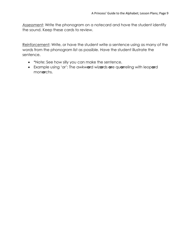Assessment: Write the phonogram on a notecard and have the student identify the sound. Keep these cards to review.

Reinforcement: Write, or have the student write a sentence using as many of the words from the phonogram list as possible. Have the student illustrate the sentence.

- \*Note: See how silly you can make the sentence.
- Example using 'ar': The awkw**ar**d wiz**ar**ds **ar**e qu**ar**reling with leop**ar**d mon**ar**chs.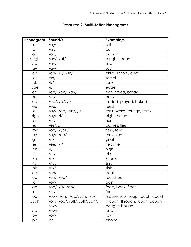| Phonogram      | Sound/s                         | Example/s                       |
|----------------|---------------------------------|---------------------------------|
| ai             | /ay/                            | tail                            |
| $\alpha$ r     | $/$ ar $/$                      | car                             |
| au             | /ah/                            | author                          |
| augh           | /ah/, /af/                      | taught, laugh                   |
| aw             | /ah/                            | saw                             |
| ay             | /ay/                            | say                             |
| ch             | /ch/, /k/, /sh/                 | child, school, chef             |
| ci             | /sh/                            | social                          |
| ck             | /k/                             | rock                            |
| dge            | $\frac{1}{\sqrt{2}}$            | edge                            |
| ea             | /ee/, /eh/, /ay/                | eat, bread, break               |
| ear            | /er/                            | early                           |
| ed             | <u>/ed/, /d/, /t/</u>           | traded, played, baked           |
| ee             | /ee/                            | feed                            |
| ei             | /ay/, /ee/, /ih/, /l/           | their, weird, foreign, feisty   |
| eigh           | /ay/, /l/                       | eight, height                   |
| er             | /er/                            | her                             |
| es             | /ez/, z                         | bushes, flies                   |
| ew             | /οο/, /γου/                     | flew, few                       |
| ey             | /ay/, /ee/                      | they, key                       |
| gn             | /n/                             | gnat                            |
| ie             | /ee/, /l/                       | field, tie                      |
| igh            | $/$  /                          | high                            |
| ir             | /er/                            | bird                            |
| kn             | /n/                             | knock                           |
| ng             | /ng/                            | sing                            |
| nk             | /nk/                            | sink                            |
| $\overline{a}$ | /oh/                            | boat                            |
| oe             | /oh/, /oo/                      | toe, shoe                       |
| оi             | /оу/                            | coin                            |
| OO             | /oo/, /ü/, /oh/                 | food, book, floor               |
| or             | /or/                            | for                             |
| OU             | /ow/, /oh/, /oo/, /uh/, /ü/     | mouse, soul, soup, touch, could |
| ough           | /oh/, /oo/, /uff/, /off/, /ah/, | though, through, rough, cough,  |
|                | /ow/                            | bought, bough                   |
| <b>OW</b>      | /ow/                            | COW                             |
| oy             | /оу/                            | toy                             |
| ph             | /f/                             | phone                           |

## **Resource 2: Multi-Letter Phonograms**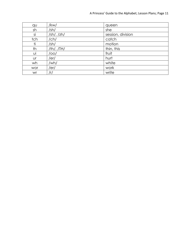| qu  | /kw/                               | queen             |
|-----|------------------------------------|-------------------|
| sh  | /sh/                               | she               |
| si  | $\frac{1}{2}$ h/, $\frac{1}{2}$ h/ | session, division |
| tch | /ch/                               | catch             |
| ti  | /sh/                               | motion            |
| th  | /th/, $/TH/$                       | thin, this        |
| υi  | /00/                               | fruit             |
| Ur  | /er/                               | hurt              |
| wh  | /wh/                               | white             |
| wor | /er/                               | work              |
| wr  | /r/                                | write             |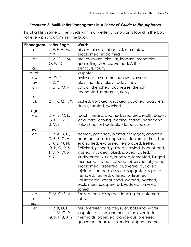#### **Resource 3: Multi-Letter Phonograms in** *A Princess' Guide to the Alphabet*

This chart lists some of the words with multi-letter phonograms found in the book. Not every phonogram is in the book.

| Phonogram  | Letter Page                                                                                       | <b>Words</b>                                                                                                                                                                                                                                                                                                                                                                                                                                                                                                                                                                           |
|------------|---------------------------------------------------------------------------------------------------|----------------------------------------------------------------------------------------------------------------------------------------------------------------------------------------------------------------------------------------------------------------------------------------------------------------------------------------------------------------------------------------------------------------------------------------------------------------------------------------------------------------------------------------------------------------------------------------|
| ai         | 2, E, F, H, M,                                                                                    | air, exclaimed, fairies, tail, mermaids,                                                                                                                                                                                                                                                                                                                                                                                                                                                                                                                                               |
|            | P, X                                                                                              | proclaimed, exclaimed                                                                                                                                                                                                                                                                                                                                                                                                                                                                                                                                                                  |
| $\alpha$ r | 1, A, C, L, M,                                                                                    | are, awkward, circular, leopard, monarchs,                                                                                                                                                                                                                                                                                                                                                                                                                                                                                                                                             |
|            | Q, W, X                                                                                           | quarrelling, wizards, warned, Arthur                                                                                                                                                                                                                                                                                                                                                                                                                                                                                                                                                   |
| au         | <u>C, F</u>                                                                                       | centaurs, faulty                                                                                                                                                                                                                                                                                                                                                                                                                                                                                                                                                                       |
| augh       | H                                                                                                 | laughter                                                                                                                                                                                                                                                                                                                                                                                                                                                                                                                                                                               |
| aw         | A, O, Y                                                                                           | awkward, awesome, outlaws, yawned                                                                                                                                                                                                                                                                                                                                                                                                                                                                                                                                                      |
| ay         | 1, 2, Y                                                                                           | playtime, day, okay, today, may                                                                                                                                                                                                                                                                                                                                                                                                                                                                                                                                                        |
| ch         | 1, D, E, M, R                                                                                     | school, drenched, duchesses, drench,<br>enchanted, monarchs, richly                                                                                                                                                                                                                                                                                                                                                                                                                                                                                                                    |
| сi         |                                                                                                   |                                                                                                                                                                                                                                                                                                                                                                                                                                                                                                                                                                                        |
| ck         | 2, F, K, Q, T, W                                                                                  | picked, frolicked, knocked, quacked, quackers,<br>ducks, tackled, wacked                                                                                                                                                                                                                                                                                                                                                                                                                                                                                                               |
| dge        |                                                                                                   |                                                                                                                                                                                                                                                                                                                                                                                                                                                                                                                                                                                        |
| ea         | 2, A, B, C, E,<br>G, H, L, R, S,<br>U, V, Z                                                       | teach, means, beamed, creatures, really, eager,<br>lead, ears, leaving, leaping, realms, headband,<br>unleashed, unbeatable, defeat, zealous                                                                                                                                                                                                                                                                                                                                                                                                                                           |
| ear        |                                                                                                   |                                                                                                                                                                                                                                                                                                                                                                                                                                                                                                                                                                                        |
| ed         | 1, 2, A, B, C,<br>D, E, F, G, H, I,<br>J, K, L, M, N,<br>O, P, Q, R, S,<br>T, U, V, W, X,<br>Y, Z | adored, preferred, picked, shrugged, adopted,<br>beamed, called, captured, declared, drenched,<br>enchanted, exclaimed, embraced, fretted,<br>frolicked, grinned, guided, howled, hobnobbed,<br>insisted, invaded, joked, jabbed, called,<br>kindhearted, kissed, knocked, lamented, lunged,<br>murmured, noted, nabbed, observed, objected,<br>proclaimed, preferred, quavered, quacked,<br>rejoiced, romped, dressed, suggested, slipped,<br>trembled, tackled, uttered, unleashed,<br>volunteered, vanquished, warned, wacked,<br>exclaimed, exasperated, yodeled, yawned,<br>zoned |
| ee         | E, M, O, S, V                                                                                     | feels, queen, disagree, sleeping, volunteered                                                                                                                                                                                                                                                                                                                                                                                                                                                                                                                                          |
| ei         | F                                                                                                 | feisty                                                                                                                                                                                                                                                                                                                                                                                                                                                                                                                                                                                 |
| eigh       |                                                                                                   |                                                                                                                                                                                                                                                                                                                                                                                                                                                                                                                                                                                        |
| er         | 1, 2, B, D, H, I,<br>J, K, M, O, P,<br>Q, S, T, U, X, Y                                           | her, preferred, scepter, ruler, ballerina, water,<br>laughter, person, another, jester, over, letters,<br>mermaids, observed, dangerous, preferred,<br>quavered, quackers, slender, slippers, mother,                                                                                                                                                                                                                                                                                                                                                                                  |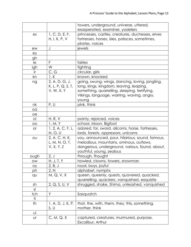|                 |                   | towers, underground, universe, uttered,          |
|-----------------|-------------------|--------------------------------------------------|
|                 |                   | exasperated, examiner, yodelers                  |
| es              | 1, C, D, E, F,    | princesses, castles, creatures, duchesses, elves |
|                 | H, I, K, P, V     | fortresses, horses, isles, palaces, sometimes,   |
|                 |                   | pirates, voices                                  |
| ew              | J                 | jewels                                           |
| ey              |                   |                                                  |
| gn              |                   |                                                  |
| ie              | F                 | fairies                                          |
| igh             | W                 | fighting                                         |
| ir              | C, G              | circular, girls                                  |
| kn              | 1, K              | known, knocked                                   |
| ng              | 2, A, D, G, J,    | going, swung, wings, dancing, loving, jangling,  |
|                 | K, L, P, Q, S, T, | long, kings, kingdom, leaving, leaping,          |
|                 | V, W, X, Y        | something, quarrelling, sleeping, terrifying,    |
|                 |                   | Vikings, language, warring, waving, angry,       |
|                 |                   | young                                            |
| nk              | P, U              | pink, think                                      |
| oa              |                   |                                                  |
| oе              |                   |                                                  |
| Оİ              | <u>H, R, V</u>    | pointy, rejoiced, voices                         |
| $\overline{O}O$ | 1, M, Y           | school, Moon, Bigfoot                            |
| <b>or</b>       | 1, 2, A, C, F, L, | adored, for, sword, alicorns, horse, fortresses, |
|                 | N, O, U           | lords, forests, oppressors, unicorns             |
| OU              | 2, A, C, H, K,    | you, announced, pour, hilarious, sound, famous,  |
|                 | L, M, N, O, T,    | melodious, mountains, ominous, outlaws,          |
|                 | V, X, Y, Z        | dangerous, underground, various, found, about,   |
|                 |                   | youthful, young, zealous                         |
| ough            | 2, J              | through, thought                                 |
| OW              | H, J, T, Y        | howled, clowns, towers, snowman                  |
| oy              | 2, B, J           | royal, boys, joyful                              |
| ph              | 2, N              | alphabet, nymphs                                 |
| qu              | M, Q, V, X        | queen, queenly, quests, quavered, quacked,       |
|                 |                   | quarrelling, quackers, vanquished, exquisite     |
| sh              | 2, Q, S, U, V     | shrugged, shake, Shima, unleashed, vanquished    |
| si              |                   |                                                  |
| tch             | Y                 | Sasquatch                                        |
| ti              |                   |                                                  |
| th              | 1, A, D, J, K, P, | that, the, with, them, they, this, something,    |
|                 | S, U              | mother, think                                    |
| Uİ              |                   |                                                  |
| Ur              | C, M, Q, X        | captured, creatures, murmured, purpose,          |
|                 |                   | Excalibur, Arthur                                |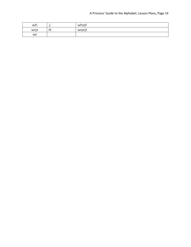| wh  | <br>what |
|-----|----------|
| wor | word     |
| wr  |          |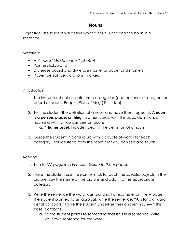## **Nouns**

Objective: The student will define what a noun is and find the noun in a sentence.

#### Materials:

- *A Princess' Guide to the Alphabet*
- Pointer stick/wand
- Dry erase board and dry erase marker or paper and markers
- Paper, pencil, pen, crayons, markers

#### Introduction:

- 1. The instructor should create three categories (and optional 4<sup>th</sup> one) on the board or paper: People, Place, Thing (4<sup>th</sup> – Idea).
- 2. Tell the student the definition of a noun and have them repeat it: **A noun**  is a person, place, or thing. In other words, with this basic definition, a noun is anything you can see or touch.
	- a. **\*Higher Level**: Include 'Idea' in the definition of a noun
- 3. Guide the student in coming up with a couple of words for each category. Include items from the room that you can see and touch.

- 1. Turn to 'A' page in *A Princess' Guide to the Alphabet.*
- 2. Have the student use the pointer stick to touch the specific objects in the picture. Say the name of the picture and add it to the appropriate category.
- 3. Write the sentence the word was found in. For example, on the A page, if the student pointed to an acrobat, write the sentence, "A is for awkward aerial acrobats." Have the student underline their chosen noun—in this case, acrobats.
	- a. \*If the student points to something that isn't in a sentence, write your own sentence for the word.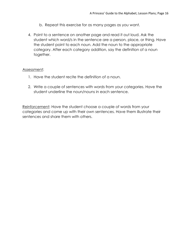- b. Repeat this exercise for as many pages as you want.
- 4. Point to a sentence on another page and read it out loud. Ask the student which word/s in the sentence are a person, place, or thing. Have the student point to each noun. Add the noun to the appropriate category. After each category addition, say the definition of a noun together.

#### Assessment:

- 1. Have the student recite the definition of a noun.
- 2. Write a couple of sentences with words from your categories. Have the student underline the noun/nouns in each sentence.

Reinforcement: Have the student choose a couple of words from your categories and come up with their own sentences. Have them illustrate their sentences and share them with others.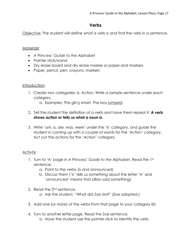## **Verbs**

Objective: The student will define what a verb is and find the verb in a sentence.

#### Materials:

- *A Princess' Guide to the Alphabet*
- Pointer stick/wand
- Dry erase board and dry erase marker or paper and markers
- Paper, pencil, pen, crayons, markers

#### Introduction:

- 1. Create two categories: Is, Action. Write a sample sentence under each category.
	- a. Examples: The girl is smart. The boy jumped.
- 2. Tell the student the definition of a verb and have them repeat it: **A verb shows action or tells us what a noun is.**
- 3. Write 'am, is, are, was, were' under the 'Is' category, and guide the student in coming up with a couple of words for the 'Action' category. Act out the actions for the 'Action' category.

- 1. Turn to 'A' page in *A Princess' Guide to the Alphabet.* Read the 1st sentence.
	- a. Point to the verbs (is and announced)
	- b. Discuss them ('is' tells us something about the letter 'A' and 'announced' means that Lillian said something)
- 2. Read the 2<sup>nd</sup> sentence.
	- a. Ask the student, "What did Zoe do?" (Zoe adopted.)
- 3. Add one (or more) of the verbs from that page to your category list.
- 4. Turn to another letter page. Read the Zoe sentence. a. Have the student use the pointer stick to identify the verb.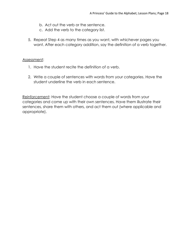- b. Act out the verb or the sentence.
- c. Add the verb to the category list.
- 5. Repeat Step 4 as many times as you want, with whichever pages you want. After each category addition, say the definition of a verb together.

#### Assessment:

- 1. Have the student recite the definition of a verb.
- 2. Write a couple of sentences with words from your categories. Have the student underline the verb in each sentence.

Reinforcement: Have the student choose a couple of words from your categories and come up with their own sentences. Have them illustrate their sentences, share them with others, and act them out (where applicable and appropriate).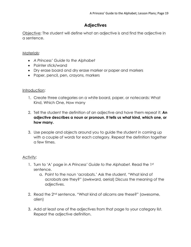## **Adjectives**

Objective: The student will define what an adjective is and find the adjective in a sentence.

#### Materials:

- *A Princess' Guide to the Alphabet*
- Pointer stick/wand
- Dry erase board and dry erase marker or paper and markers
- Paper, pencil, pen, crayons, markers

#### Introduction:

- 1. Create three categories on a white board, paper, or notecards: What Kind, Which One, How many
- 2. Tell the student the definition of an adjective and have them repeat it: **An adjective describes a noun or pronoun. It tells us what kind, which one, or how many.**
- 3. Use people and objects around you to guide the student in coming up with a couple of words for each category. Repeat the definition together a few times.

- 1. Turn to 'A' page in *A Princess' Guide to the Alphabet.* Read the 1st sentence.
	- a. Point to the noun 'acrobats.' Ask the student, "What kind of acrobats are they?" (awkward, aerial) Discuss the meaning of the adjectives.
- 2. Read the 2<sup>nd</sup> sentence. "What kind of alicorns are these?" (awesome, alien)
- 3. Add at least one of the adjectives from that page to your category list. Repeat the adjective definition.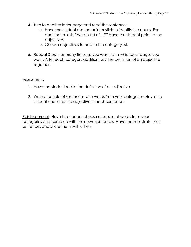- 4. Turn to another letter page and read the sentences.
	- a. Have the student use the pointer stick to identify the nouns. For each noun, ask, "What kind of ...?" Have the student point to the adjectives.
	- b. Choose adjectives to add to the category list.
- 5. Repeat Step 4 as many times as you want, with whichever pages you want. After each category addition, say the definition of an adjective together.

#### Assessment:

- 1. Have the student recite the definition of an adjective.
- 2. Write a couple of sentences with words from your categories. Have the student underline the adjective in each sentence.

Reinforcement: Have the student choose a couple of words from your categories and come up with their own sentences. Have them illustrate their sentences and share them with others.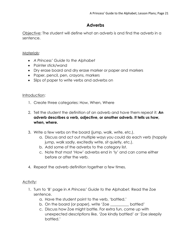## **Adverbs**

Objective: The student will define what an adverb is and find the adverb in a sentence.

#### Materials:

- *A Princess' Guide to the Alphabet*
- Pointer stick/wand
- Dry erase board and dry erase marker or paper and markers
- Paper, pencil, pen, crayons, markers
- Slips of paper to write verbs and adverbs on

#### Introduction:

- 1. Create three categories: How, When, Where
- 2. Tell the student the definition of an adverb and have them repeat it: **An adverb describes a verb, adjective, or another adverb. It tells us how, when, where.**
- 3. Write a few verbs on the board (jump, walk, write, etc.).
	- a. Discuss and act out multiple ways you could do each verb (happily jump, walk sadly, excitedly write, sit quietly, etc.).
	- b. Add some of the adverbs to the category list.
	- c. Note that most 'How' adverbs end in 'ly' and can come either before or after the verb.
- 4. Repeat the adverb definition together a few times.

- 1. Turn to 'B' page in *A Princess' Guide to the Alphabet.* Read the Zoe sentence.
	- a. Have the student point to the verb, 'battled.'
	- b. On the board (or paper), write 'Zoe \_\_\_\_\_\_\_\_\_\_ battled'
	- c. Discuss how Zoe might battle. For extra fun, come up with unexpected descriptions like, 'Zoe kindly battled' or 'Zoe sleepily battled.'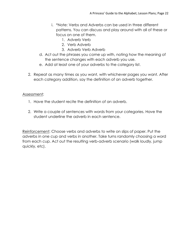- i. \*Note: Verbs and Adverbs can be used in three different patterns. You can discuss and play around with all of these or focus on one of them.
	- 1. Adverb Verb
	- 2. Verb Adverb
	- 3. Adverb Verb Adverb
- d. Act out the phrases you come up with, noting how the meaning of the sentence changes with each adverb you use.
- e. Add at least one of your adverbs to the category list.
- 2. Repeat as many times as you want, with whichever pages you want. After each category addition, say the definition of an adverb together.

#### Assessment:

- 1. Have the student recite the definition of an adverb.
- 2. Write a couple of sentences with words from your categories. Have the student underline the adverb in each sentence.

Reinforcement: Choose verbs and adverbs to write on slips of paper. Put the adverbs in one cup and verbs in another. Take turns randomly choosing a word from each cup. Act out the resulting verb-adverb scenario (walk loudly, jump quickly, etc).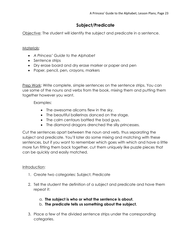## **Subject/Predicate**

Objective: The student will identify the subject and predicate in a sentence.

#### Materials:

- *A Princess' Guide to the Alphabet*
- Sentence strips
- Dry erase board and dry erase marker or paper and pen
- Paper, pencil, pen, crayons, markers

Prep Work: Write complete, simple sentences on the sentence strips. You can use some of the nouns and verbs from the book, mixing them and putting them together however you want.

#### Examples:

- The awesome alicorns flew in the sky.
- The beautiful ballerinas danced on the stage.
- The calm centaurs battled the bad guys.
- The diamond dragons drenched the silly princesses.

Cut the sentences apart between the noun and verb, thus separating the subject and predicate. You'll later do some mixing and matching with these sentences, but if you want to remember which goes with which and have a little more fun fitting them back together, cut them uniquely like puzzle pieces that can be quickly and easily matched.

#### Introduction:

- 1. Create two categories: Subject, Predicate
- 2. Tell the student the definition of a subject and predicate and have them repeat it:
	- a. **The subject is who or what the sentence is about.**
	- b. **The predicate tells us something about the subject.**
- 3. Place a few of the divided sentence strips under the corresponding categories.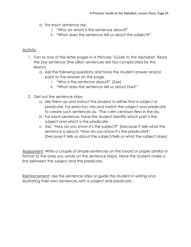- a. For each sentence ask,
	- i. "Who (or what) is the sentence about?"
	- ii. "What does the sentence tell us about the subject?"

#### Activity:

- 1. Turn to one of the letter pages in *A Princess' Guide to the Alphabet.* Read the Zoe sentence (the Lillian sentences are too complicated for this lesson).
	- a. Ask the following questions and have the student answer and/or point to the answer on the page.
		- i. "Who is the sentence about?" (Zoe)
		- ii. "What does the sentence tell us about Zoe?"
- 2. Get out the sentence strips.
	- a. Mix them up and instruct the student to either find a subject or predicate. For extra fun, mix and match the subject and predicate to create such sentences as, "The calm centaurs flew in the sky.
	- b. For each sentence, have the student identify which part is the subject and which is the predicate.
	- c. Ask, "How do you know it's the subject?" (because it tells what the sentence is about) "How do you know it's the predicate?" (because it tells us about the subject/tells us what the subject does)

Assessment: Write a couple of simple sentences on the board or paper (similar in format to the ones you wrote on the sentence strips). Have the student make a line between the subject and the predicate.

Reinforcement: Use the sentence strips or guide the student in writing and illustrating their own sentences with a subject and predicate.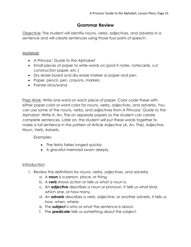## **Grammar Review**

Objective: The student will identify nouns, verbs, adjectives, and adverbs in a sentence and will create sentences using those four parts of speech.

#### Materials:

- *A Princess' Guide to the Alphabet*
- Small pieces of paper to write words on (post-it notes, notecards, cut construction paper, etc.)
- Dry erase board and dry erase marker or paper and pen
- Paper, pencil, pen, crayons, markers
- Pointer stick/wand

Prep Work: Write one word on each piece of paper. Color code these with either paper color or word color for nouns, verbs, adjectives, and adverbs. You can use some of the nouns, verbs, and adjectives from *A Princess' Guide to the Alphabet*. Write A, An, The on separate papers so the student can create complete sentences. Later on, the student will put these words together to make a full sentence in the pattern of Article Adjective (A, An, The), Adjective, Noun, Verb, Adverb.

Examples:

- The feisty fairies lunged quickly.
- A graceful mermaid swam deeply.

#### Introduction:

- 1. Review the definitions for nouns, verbs, adjectives, and adverbs
	- a. A **noun** is a person, place, or thing.
	- b. A **verb** shows action or tells us what a noun is.
	- c. An **adjective** describes a noun or pronoun. It tells us what kind, which one, or how many.
	- d. An **adverb** describes a verb, adjective, or another adverb. It tells us how, when, where.
	- e. The **subject** is who or what the sentence is about.
	- f. The **predicate** tells us something about the subject.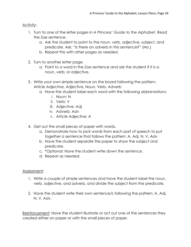#### Activity:

- 1. Turn to one of the letter pages in *A Princess' Guide to the Alphabet.* Read the Zoe sentence.
	- a. Ask the student to point to the noun, verb, adjective, subject, and predicate. Ask: "Is there an adverb in this sentence?" (No.)
	- b. Repeat this with other pages as needed.
- 2. Turn to another letter page.
	- a. Point to a word in the Zoe sentence and ask the student if it is a noun, verb, or adjective.
- 3. Write your own simple sentence on the board following the pattern: Article Adjective, Adjective, Noun, Verb, Adverb
	- a. Have the student label each word with the following abbreviations:
		- i. Noun: N
		- ii. Verb: V
		- iii. Adjective: Adj
		- iv. Adverb: Adv
		- v. Article Adjective: A
- 4. Get out the small pieces of paper with words.
	- a. Demonstrate how to pick words from each part of speech to put together a sentence that follows the pattern: A, Adj, N, V, Adv
	- b. Have the student separate the paper to show the subject and predicate.
	- c. \*Optional: Have the student write down the sentence.
	- d. Repeat as needed.

#### Assessment:

- 1. Write a couple of simple sentences and have the student label the noun, verb, adjective, and adverb, and divide the subject from the predicate.
- 2. Have the student write their own sentence/s following the pattern: A, Adj, N, V, Adv.

Reinforcement: Have the student illustrate or act out one of the sentences they created either on paper or with the small pieces of paper.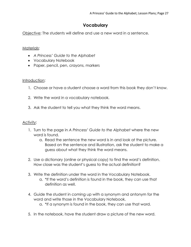## **Vocabulary**

Objective: The students will define and use a new word in a sentence.

#### Materials:

- *A Princess' Guide to the Alphabet*
- Vocabulary Notebook
- Paper, pencil, pen, crayons, markers

#### Introduction:

- 1. Choose or have a student choose a word from this book they don't know.
- 2. Write the word in a vocabulary notebook.
- 3. Ask the student to tell you what they think the word means.

- 1. Turn to the page in *A Princess' Guide to the Alphabet* where the new word is found.
	- a. Read the sentence the new word is in and look at the picture. Based on the sentence and illustration, ask the student to make a guess about what they think the word means.
- 2. Use a dictionary (online or physical copy) to find the word's definition. How close was the student's guess to the actual definition?
- 3. Write the definition under the word in the Vocabulary Notebook.
	- a. \*If the word's definition is found in the book, they can use that definition as well.
- 4. Guide the student in coming up with a synonym and antonym for the word and write those in the Vocabulary Notebook.
	- a. \*If a synonym is found in the book, they can use that word.
- 5. In the notebook, have the student draw a picture of the new word.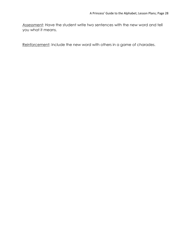Assessment: Have the student write two sentences with the new word and tell you what it means.

Reinforcement: Include the new word with others in a game of charades.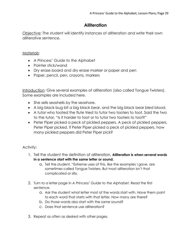## **Alliteration**

Objective: The student will identify instances of alliteration and write their own alliterative sentence.

#### Materials:

- *A Princess' Guide to the Alphabet*
- Pointer stick/wand
- Dry erase board and dry erase marker or paper and pen
- Paper, pencil, pen, crayons, markers

Introduction: Give several examples of alliteration (also called Tongue Twisters). Some examples are included here.

- She sells seashells by the seashore.
- A big black bug bit a big black bear, and the big black bear bled blood.
- A tutor who tooted the flute tried to tutor two tooters to toot. Said the two to the tutor, "Is it harder to toot or to tutor two tooters to toot?"
- Peter Piper picked a peck of pickled peppers. A peck of pickled peppers, Peter Piper picked. If Peter Piper picked a peck of pickled peppers, how many pickled peppers did Peter Piper pick?

- 1. Tell the student the definition of alliteration. **Alliteration is when several words in a sentence start with the same letter or sound.**
	- a. Tell the student, "Extreme uses of this, like the examples I gave, are sometimes called Tongue Twisters. But most alliteration isn't that complicated or silly.
- 2. Turn to a letter page in *A Princess' Guide to the Alphabet*. Read the first sentence.
	- a. Ask the student what letter most of the words start with. Have them point to each word that starts with that letter. How many are there?
	- b. Do those words also start with the same sound?
	- c. Does that sentence use alliteration?
- 3. Repeat as often as desired with other pages.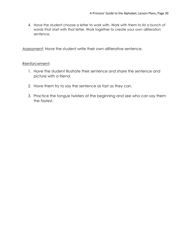4. Have the student choose a letter to work with. Work with them to list a bunch of words that start with that letter. Work together to create your own alliteration sentence.

Assessment: Have the student write their own alliterative sentence.

#### Reinforcement:

- 1. Have the student illustrate their sentence and share the sentence and picture with a friend.
- 2. Have them try to say the sentence as fast as they can.
- 3. Practice the tongue twisters at the beginning and see who can say them the fastest.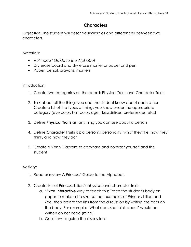## **Characters**

Objective: The student will describe similarities and differences between two characters.

#### Materials:

- *A Princess' Guide to the Alphabet*
- Dry erase board and dry erase marker or paper and pen
- Paper, pencil, crayons, markers

#### Introduction:

- 1. Create two categories on the board: Physical Traits and Character Traits
- 2. Talk about all the things you and the student know about each other. Create a list of the types of things you know under the appropriate category (eye color, hair color, age, likes/dislikes, preferences, etc.)
- 3. Define **Physical Traits** as: anything you can see about a person
- 4. Define **Character Traits** as: a person's personality, what they like, how they think, and how they act
- 5. Create a Venn Diagram to compare and contrast yourself and the student

- 1. Read or review A Princess' Guide to the Alphabet.
- 2. Create lists of Princess Lillian's physical and character traits.
	- a. \***Extra Interactive** way to teach this: Trace the student's body on paper to make a life-size cut out examples of Princess Lillian and Zoe, then create the lists from the discussion by writing the traits on the body. For example: 'What does she think about' would be written on her head (mind).
	- b. Questions to guide the discussion: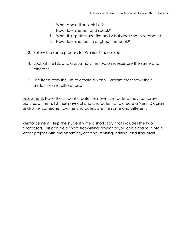- i. What does Lillian look like?
- ii. How does she act and speak?
- iii. What things does she like and what does she think about?
- iv. How does she feel throughout the book?
- 3. Follow the same process for Warrior Princess Zoe.
- 4. Look at the lists and discuss how the two princesses are the same and different.
- 5. Use items from the lists to create a Venn Diagram that shows their similarities and differences.

Assessment: Have the student create their own characters. They can draw pictures of them, list their physical and character traits, create a Venn Diagram, and/or tell someone how the characters are the same and different.

Reinforcement: Help the student write a short story that includes the two characters. This can be a short, freewriting project or you can expand it into a larger project with brainstorming, drafting, revising, editing, and final draft.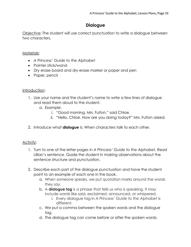## **Dialogue**

Objective: The student will use correct punctuation to write a dialogue between two characters.

#### Materials:

- *A Princess' Guide to the Alphabet*
- Pointer stick/wand
- Dry erase board and dry erase marker or paper and pen
- Paper, pencil

#### Introduction:

- 1. Use your name and the student's name to write a few lines of dialogue and read them aloud to the student.
	- a. Example:
		- i. "Good morning, Mrs. Fulton," said Chloe.
		- ii. "Hello, Chloe. How are you doing today?" Mrs. Fulton asked.
- 2. Introduce what **dialogue** is: When characters talk to each other.

- 1. Turn to one of the letter pages in *A Princess' Guide to the Alphabet.* Read Lillian's sentence. Guide the student in making observations about the sentence structure and punctuation.
- 2. Describe each part of the dialogue punctuation and have the student point to an example of each one in the book.
	- a. When someone speaks, we put quotation marks around the words they say.
	- b. A **dialogue tag** is a phrase that tells us who is speaking. It may include words like said, exclaimed, announced, or whispered.
		- i. Every dialogue tag in *A Princess' Guide to the Alphabet* is different.
	- c. We put a comma between the spoken words and the dialogue tag.
	- d. The dialogue tag can come before or after the spoken words.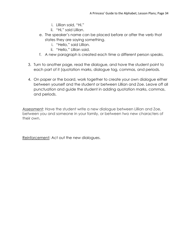- i. Lillian said, "Hi."
- ii. "Hi," said Lillian.
- e. The speaker's name can be placed before or after the verb that states they are saying something.
	- i. "Hello," said Lillian.
	- ii. "Hello," Lillian said.
- f. A new paragraph is created each time a different person speaks.
- 3. Turn to another page, read the dialogue, and have the student point to each part of it (quotation marks, dialogue tag, commas, and periods.
- 4. On paper or the board, work together to create your own dialogue either between yourself and the student or between Lillian and Zoe. Leave off all punctuation and guide the student in adding quotation marks, commas, and periods.

Assessment: Have the student write a new dialogue between Lillian and Zoe, between you and someone in your family, or between two new characters of their own.

Reinforcement: Act out the new dialogues.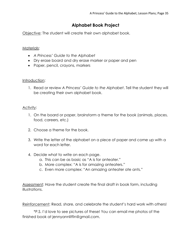## **Alphabet Book Project**

Objective: The student will create their own alphabet book.

#### Materials:

- *A Princess' Guide to the Alphabet*
- Dry erase board and dry erase marker or paper and pen
- Paper, pencil, crayons, markers

#### Introduction:

1. Read or review *A Princess' Guide to the Alphabet*. Tell the student they will be creating their own alphabet book.

#### Activity:

- 1. On the board or paper, brainstorm a theme for the book (animals, places, food, careers, etc.)
- 2. Choose a theme for the book.
- 3. Write the letter of the alphabet on a piece of paper and come up with a word for each letter.
- 4. Decide what to write on each page.
	- a. This can be as basic as "A is for anteater."
	- b. More complex: "A is for amazing anteaters."
	- c. Even more complex: "An amazing anteater ate ants."

Assessment: Have the student create the final draft in book form, including illustrations.

Reinforcement: Read, share, and celebrate the student's hard work with others!

\*P.S. I'd love to see pictures of these! You can email me photos of the finished book at jennyannlitfin@gmail.com.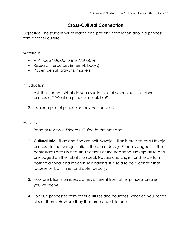## **Cross-Cultural Connection**

Objective: The student will research and present information about a princess from another culture.

#### Materials:

- *A Princess' Guide to the Alphabet*
- Research resources (internet, books)
- Paper, pencil, crayons, markers

#### Introduction:

- 1. Ask the student: What do you usually think of when you think about princesses? What do princesses look like?
- 2. List examples of princesses they've heard of.

- 1. Read or review *A Princess' Guide to the Alphabet*.
- 2. **Cultural Info**: Lillian and Zoe are half-Navajo. Lillian is dressed as a Navajo princess. In the Navajo Nation, there are Navajo Princess pageants. The contestants dress in beautiful versions of the traditional Navajo attire and are judged on their ability to speak Navajo and English and to perform both traditional and modern skills/talents. It is said to be a contest that focuses on both inner and outer beauty.
- 3. How are Lillian's princess clothes different from other princess dresses you've seen?
- 4. Look up princesses from other cultures and countries. What do you notice about them? How are they the same and different?